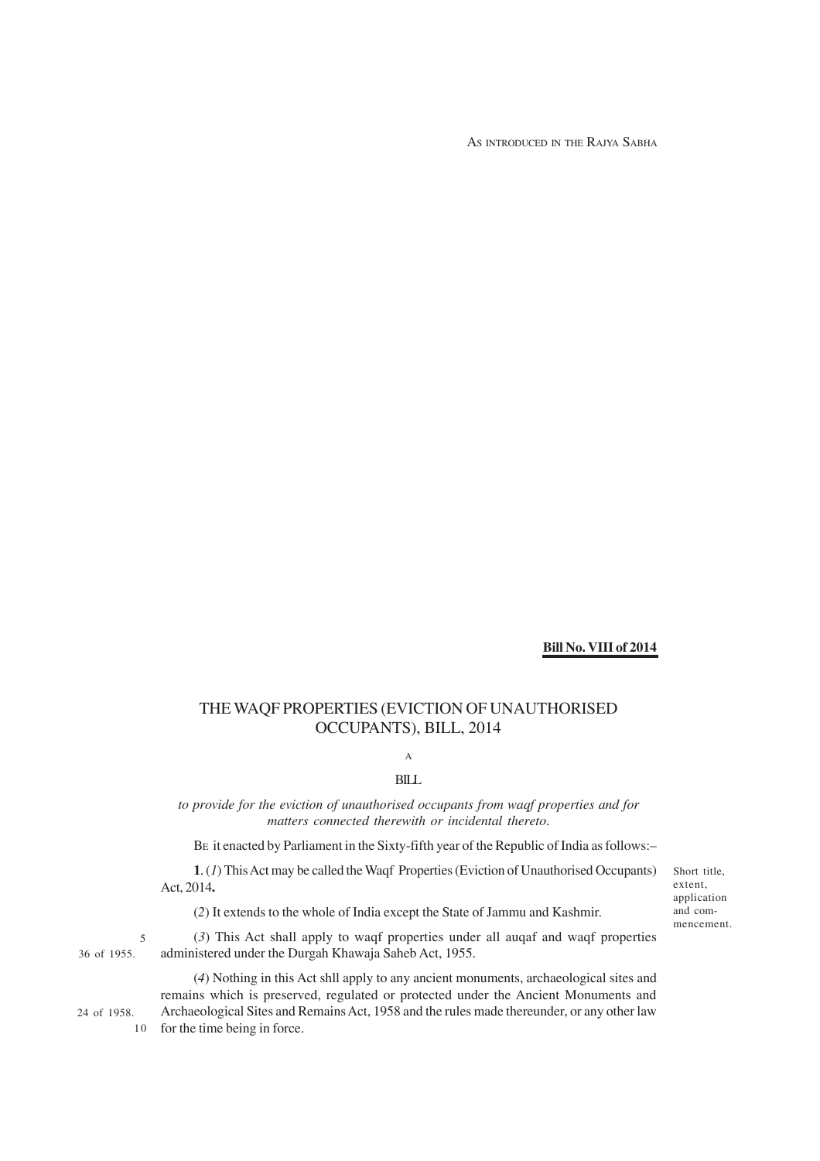AS INTRODUCED IN THE RAJYA SABHA

#### **Bill No. VIII of 2014**

# THE WAQF PROPERTIES (EVICTION OF UNAUTHORISED OCCUPANTS), BILL, 2014

# A

## BILL

*to provide for the eviction of unauthorised occupants from waqf properties and for matters connected therewith or incidental thereto*.

BE it enacted by Parliament in the Sixty-fifth year of the Republic of India as follows:–

**1**. (*1*) This Act may be called the Waqf Properties (Eviction of Unauthorised Occupants) Act, 2014**.**

(*2*) It extends to the whole of India except the State of Jammu and Kashmir.

36 of 1955. 5

(*3*) This Act shall apply to waqf properties under all auqaf and waqf properties administered under the Durgah Khawaja Saheb Act, 1955.

24 of 1958.

10

(*4*) Nothing in this Act shll apply to any ancient monuments, archaeological sites and remains which is preserved, regulated or protected under the Ancient Monuments and Archaeological Sites and Remains Act, 1958 and the rules made thereunder, or any other law for the time being in force.

Short title, extent, application and commencement.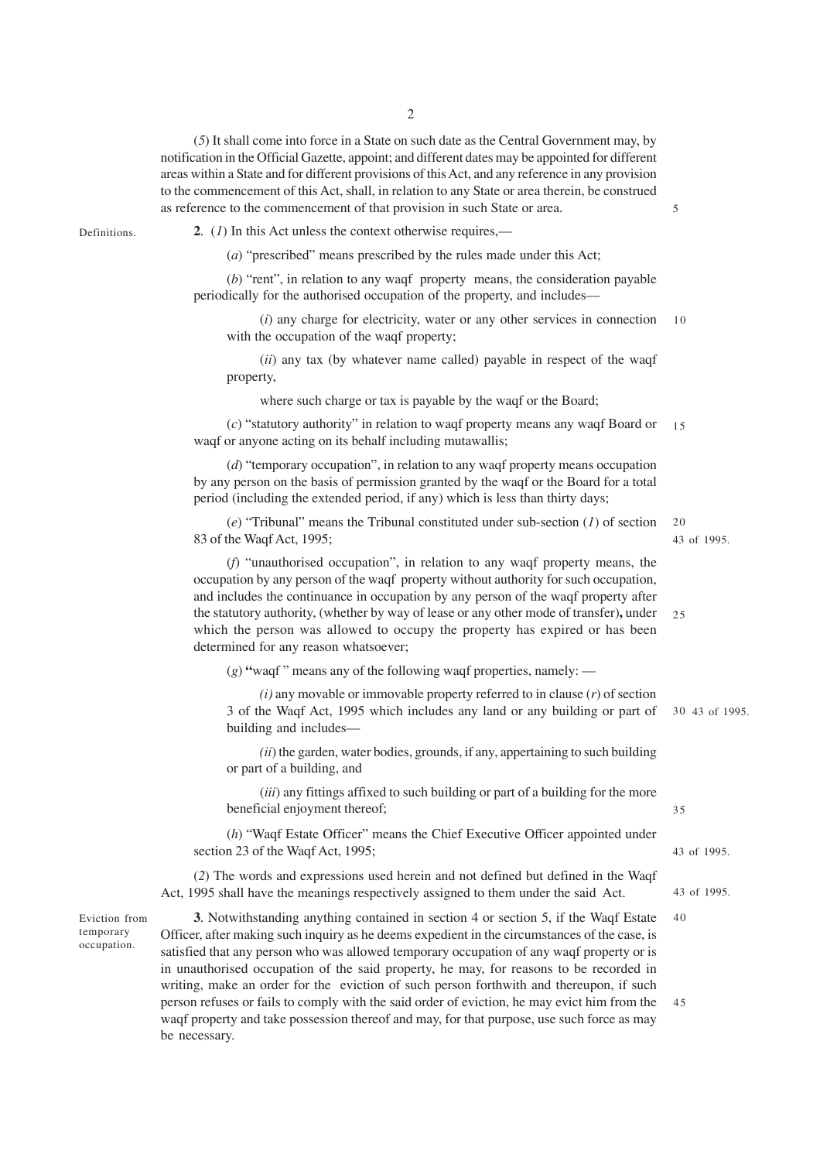(*5*) It shall come into force in a State on such date as the Central Government may, by notification in the Official Gazette, appoint; and different dates may be appointed for different areas within a State and for different provisions of this Act, and any reference in any provision to the commencement of this Act, shall, in relation to any State or area therein, be construed as reference to the commencement of that provision in such State or area.

Definitions.

**2**. (*1*) In this Act unless the context otherwise requires,––

(*a*) "prescribed" means prescribed by the rules made under this Act;

(*b*) "rent", in relation to any waqf property means, the consideration payable periodically for the authorised occupation of the property, and includes––

(*i*) any charge for electricity, water or any other services in connection with the occupation of the waqf property; 10

(*ii*) any tax (by whatever name called) payable in respect of the waqf property,

where such charge or tax is payable by the waqf or the Board;

(*c*) "statutory authority" in relation to waqf property means any waqf Board or 15 waqf or anyone acting on its behalf including mutawallis;

(*d*) "temporary occupation", in relation to any waqf property means occupation by any person on the basis of permission granted by the waqf or the Board for a total period (including the extended period, if any) which is less than thirty days;

(*e*) "Tribunal" means the Tribunal constituted under sub-section (*1*) of section 83 of the Waqf Act, 1995; 20

(*f*) "unauthorised occupation", in relation to any waqf property means, the occupation by any person of the waqf property without authority for such occupation, and includes the continuance in occupation by any person of the waqf property after the statutory authority, (whether by way of lease or any other mode of transfer)**,** under which the person was allowed to occupy the property has expired or has been determined for any reason whatsoever;  $25$ 

(*g*) **"**waqf " means any of the following waqf properties, namely: ––

*(i)* any movable or immovable property referred to in clause (*r*) of section 3 of the Waqf Act, 1995 which includes any land or any building or part of building and includes–– 43 of 1995. 30

*(ii*) the garden, water bodies, grounds, if any, appertaining to such building or part of a building, and

(*iii*) any fittings affixed to such building or part of a building for the more beneficial enjoyment thereof;

(*h*) "Waqf Estate Officer" means the Chief Executive Officer appointed under section 23 of the Waqf Act, 1995;

(*2*) The words and expressions used herein and not defined but defined in the Waqf Act, 1995 shall have the meanings respectively assigned to them under the said Act.

Eviction from temporary occupation.

**3**. Notwithstanding anything contained in section 4 or section 5, if the Waqf Estate Officer, after making such inquiry as he deems expedient in the circumstances of the case, is satisfied that any person who was allowed temporary occupation of any waqf property or is in unauthorised occupation of the said property, he may, for reasons to be recorded in writing, make an order for the eviction of such person forthwith and thereupon, if such person refuses or fails to comply with the said order of eviction, he may evict him from the waqf property and take possession thereof and may, for that purpose, use such force as may be necessary. 40 45

5

43 of 1995.

35

43 of 1995.

43 of 1995.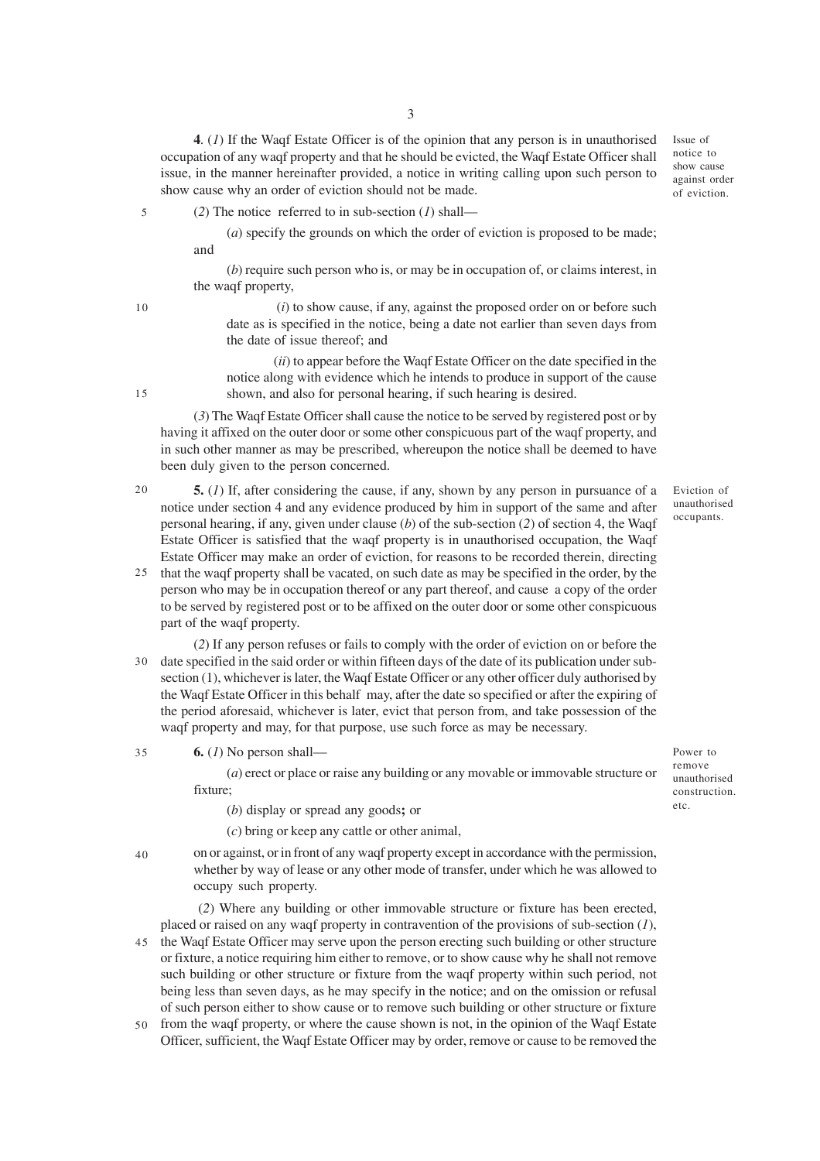**4**. (*1*) If the Waqf Estate Officer is of the opinion that any person is in unauthorised occupation of any waqf property and that he should be evicted, the Waqf Estate Officer shall issue, in the manner hereinafter provided, a notice in writing calling upon such person to show cause why an order of eviction should not be made.

(*2*) The notice referred to in sub-section (*1*) shall–– 5

> (*a*) specify the grounds on which the order of eviction is proposed to be made; and

> (*b*) require such person who is, or may be in occupation of, or claims interest, in the waqf property,

 (*i*) to show cause, if any, against the proposed order on or before such date as is specified in the notice, being a date not earlier than seven days from the date of issue thereof; and

 (*ii*) to appear before the Waqf Estate Officer on the date specified in the notice along with evidence which he intends to produce in support of the cause shown, and also for personal hearing, if such hearing is desired.

(*3*) The Waqf Estate Officer shall cause the notice to be served by registered post or by having it affixed on the outer door or some other conspicuous part of the waqf property, and in such other manner as may be prescribed, whereupon the notice shall be deemed to have been duly given to the person concerned.

- **5.** (*1*) If, after considering the cause, if any, shown by any person in pursuance of a notice under section 4 and any evidence produced by him in support of the same and after personal hearing, if any, given under clause (*b*) of the sub-section (*2*) of section 4, the Waqf Estate Officer is satisfied that the waqf property is in unauthorised occupation, the Waqf Estate Officer may make an order of eviction, for reasons to be recorded therein, directing  $20$
- that the waqf property shall be vacated, on such date as may be specified in the order, by the person who may be in occupation thereof or any part thereof, and cause a copy of the order to be served by registered post or to be affixed on the outer door or some other conspicuous part of the waqf property. 25
- (*2*) If any person refuses or fails to comply with the order of eviction on or before the date specified in the said order or within fifteen days of the date of its publication under sub-30 section (1), whichever is later, the Waqf Estate Officer or any other officer duly authorised by the Waqf Estate Officer in this behalf may, after the date so specified or after the expiring of the period aforesaid, whichever is later, evict that person from, and take possession of the waqf property and may, for that purpose, use such force as may be necessary.

**6.** (*1*) No person shall–– 35

> (*a*) erect or place or raise any building or any movable or immovable structure or fixture;

(*b*) display or spread any goods**;** or

(*c*) bring or keep any cattle or other animal,

on or against, or in front of any waqf property except in accordance with the permission, whether by way of lease or any other mode of transfer, under which he was allowed to occupy such property. 40

 (*2*) Where any building or other immovable structure or fixture has been erected, placed or raised on any waqf property in contravention of the provisions of sub-section (*1*), the Waqf Estate Officer may serve upon the person erecting such building or other structure or fixture, a notice requiring him either to remove, or to show cause why he shall not remove such building or other structure or fixture from the waqf property within such period, not being less than seven days, as he may specify in the notice; and on the omission or refusal of such person either to show cause or to remove such building or other structure or fixture 45

from the waqf property, or where the cause shown is not, in the opinion of the Waqf Estate Officer, sufficient, the Waqf Estate Officer may by order, remove or cause to be removed the 50

unauthorised occupants.

Power to remove unauthorised construction. etc.

Eviction of

Issue of notice to show cause against order of eviction.

15

10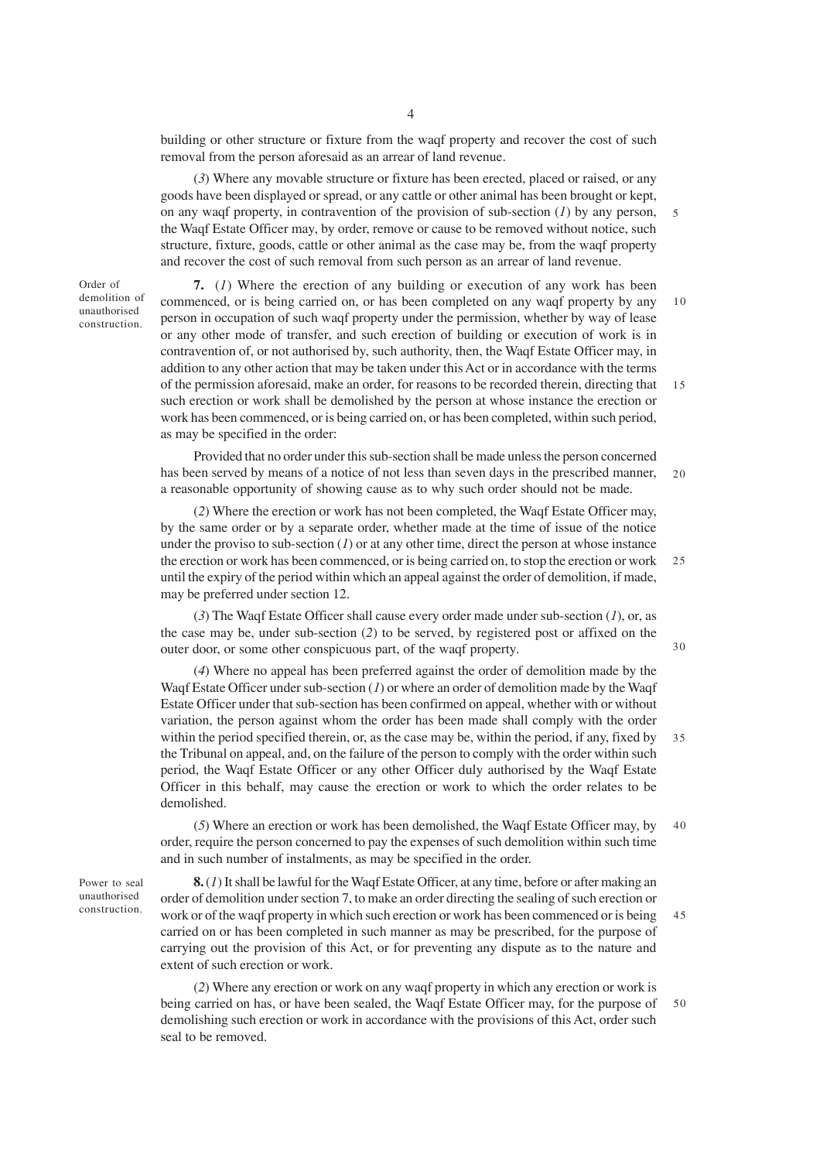building or other structure or fixture from the waqf property and recover the cost of such removal from the person aforesaid as an arrear of land revenue.

(*3*) Where any movable structure or fixture has been erected, placed or raised, or any goods have been displayed or spread, or any cattle or other animal has been brought or kept, on any waqf property, in contravention of the provision of sub-section (*1*) by any person, the Waqf Estate Officer may, by order, remove or cause to be removed without notice, such structure, fixture, goods, cattle or other animal as the case may be, from the waqf property and recover the cost of such removal from such person as an arrear of land revenue.

Order of demolition of unauthorised construction.

**7.** (*1*) Where the erection of any building or execution of any work has been commenced, or is being carried on, or has been completed on any waqf property by any person in occupation of such waqf property under the permission, whether by way of lease or any other mode of transfer, and such erection of building or execution of work is in contravention of, or not authorised by, such authority, then, the Waqf Estate Officer may, in addition to any other action that may be taken under this Act or in accordance with the terms of the permission aforesaid, make an order, for reasons to be recorded therein, directing that such erection or work shall be demolished by the person at whose instance the erection or work has been commenced, or is being carried on, or has been completed, within such period, as may be specified in the order: 10 15

Provided that no order under this sub-section shall be made unless the person concerned has been served by means of a notice of not less than seven days in the prescribed manner, a reasonable opportunity of showing cause as to why such order should not be made.  $20$ 

(*2*) Where the erection or work has not been completed, the Waqf Estate Officer may, by the same order or by a separate order, whether made at the time of issue of the notice under the proviso to sub-section (*1*) or at any other time, direct the person at whose instance the erection or work has been commenced, or is being carried on, to stop the erection or work until the expiry of the period within which an appeal against the order of demolition, if made, may be preferred under section 12. 25

(*3*) The Waqf Estate Officer shall cause every order made under sub-section (*1*), or, as the case may be, under sub-section (*2*) to be served, by registered post or affixed on the outer door, or some other conspicuous part, of the waqf property.

(*4*) Where no appeal has been preferred against the order of demolition made by the Waqf Estate Officer under sub-section (*1*) or where an order of demolition made by the Waqf Estate Officer under that sub-section has been confirmed on appeal, whether with or without variation, the person against whom the order has been made shall comply with the order within the period specified therein, or, as the case may be, within the period, if any, fixed by the Tribunal on appeal, and, on the failure of the person to comply with the order within such period, the Waqf Estate Officer or any other Officer duly authorised by the Waqf Estate Officer in this behalf, may cause the erection or work to which the order relates to be demolished. 35

(*5*) Where an erection or work has been demolished, the Waqf Estate Officer may, by order, require the person concerned to pay the expenses of such demolition within such time and in such number of instalments, as may be specified in the order. 40

Power to seal unauthorised construction.

**8.** (*1*) It shall be lawful for the Waqf Estate Officer, at any time, before or after making an order of demolition under section 7, to make an order directing the sealing of such erection or work or of the waqf property in which such erection or work has been commenced or is being carried on or has been completed in such manner as may be prescribed, for the purpose of carrying out the provision of this Act, or for preventing any dispute as to the nature and extent of such erection or work. 45

(*2*) Where any erection or work on any waqf property in which any erection or work is being carried on has, or have been sealed, the Waqf Estate Officer may, for the purpose of demolishing such erection or work in accordance with the provisions of this Act, order such seal to be removed. 50

30

5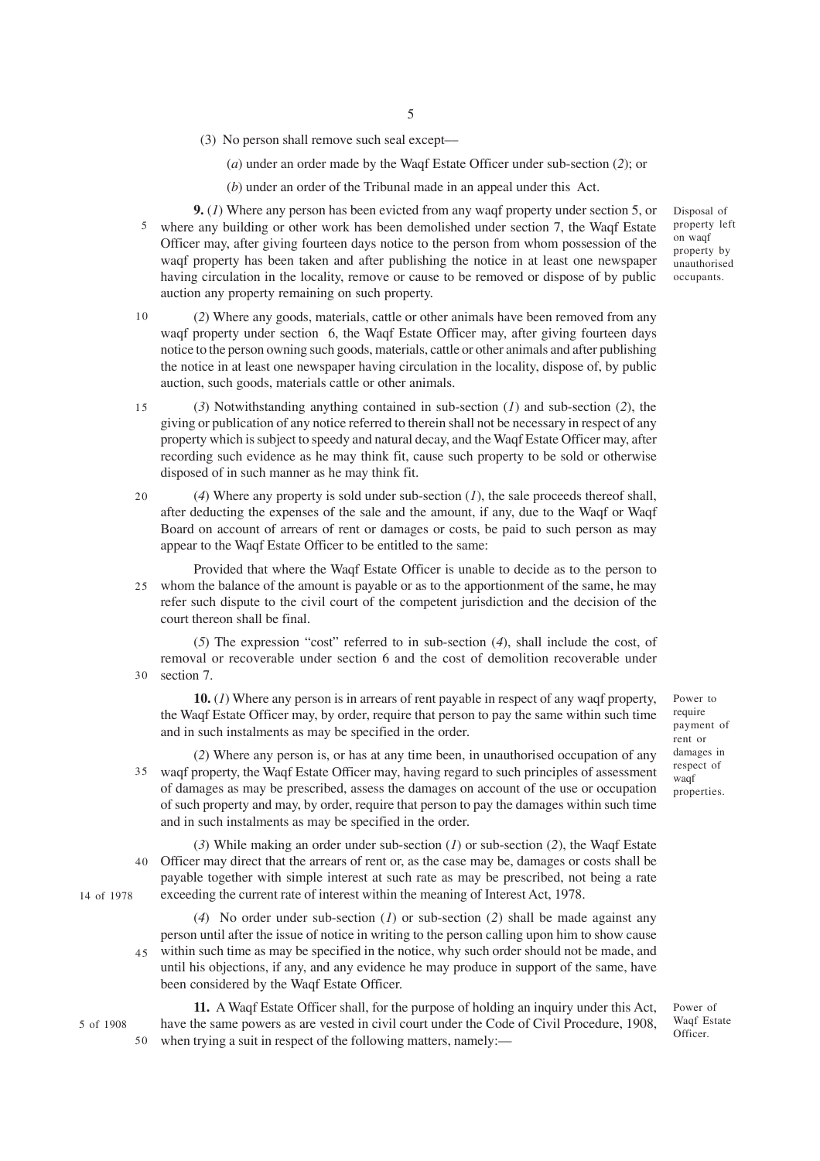(3) No person shall remove such seal except––

(*a*) under an order made by the Waqf Estate Officer under sub-section (*2*); or

(*b*) under an order of the Tribunal made in an appeal under this Act.

**9.** (*1*) Where any person has been evicted from any waqf property under section 5, or where any building or other work has been demolished under section 7, the Waqf Estate 5 Officer may, after giving fourteen days notice to the person from whom possession of the waqf property has been taken and after publishing the notice in at least one newspaper having circulation in the locality, remove or cause to be removed or dispose of by public auction any property remaining on such property.

(*2*) Where any goods, materials, cattle or other animals have been removed from any waqf property under section 6, the Waqf Estate Officer may, after giving fourteen days notice to the person owning such goods, materials, cattle or other animals and after publishing the notice in at least one newspaper having circulation in the locality, dispose of, by public auction, such goods, materials cattle or other animals. 10

- (*3*) Notwithstanding anything contained in sub-section (*1*) and sub-section (*2*), the giving or publication of any notice referred to therein shall not be necessary in respect of any property which is subject to speedy and natural decay, and the Waqf Estate Officer may, after recording such evidence as he may think fit, cause such property to be sold or otherwise disposed of in such manner as he may think fit. 15
- (*4*) Where any property is sold under sub-section (*1*), the sale proceeds thereof shall, after deducting the expenses of the sale and the amount, if any, due to the Waqf or Waqf Board on account of arrears of rent or damages or costs, be paid to such person as may appear to the Waqf Estate Officer to be entitled to the same: 20
- Provided that where the Waqf Estate Officer is unable to decide as to the person to whom the balance of the amount is payable or as to the apportionment of the same, he may 25 refer such dispute to the civil court of the competent jurisdiction and the decision of the court thereon shall be final.

(*5*) The expression "cost" referred to in sub-section (*4*), shall include the cost, of removal or recoverable under section 6 and the cost of demolition recoverable under section 7. 30

**10.** (*1*) Where any person is in arrears of rent payable in respect of any waqf property, the Waqf Estate Officer may, by order, require that person to pay the same within such time and in such instalments as may be specified in the order.

(*2*) Where any person is, or has at any time been, in unauthorised occupation of any waqf property, the Waqf Estate Officer may, having regard to such principles of assessment 35 of damages as may be prescribed, assess the damages on account of the use or occupation of such property and may, by order, require that person to pay the damages within such time and in such instalments as may be specified in the order.

(*3*) While making an order under sub-section (*1*) or sub-section (*2*), the Waqf Estate Officer may direct that the arrears of rent or, as the case may be, damages or costs shall be 40 payable together with simple interest at such rate as may be prescribed, not being a rate exceeding the current rate of interest within the meaning of Interest Act, 1978.

(*4*) No order under sub-section (*1*) or sub-section (*2*) shall be made against any person until after the issue of notice in writing to the person calling upon him to show cause within such time as may be specified in the notice, why such order should not be made, and until his objections, if any, and any evidence he may produce in support of the same, have been considered by the Waqf Estate Officer. 45

**11.** A Waqf Estate Officer shall, for the purpose of holding an inquiry under this Act, have the same powers as are vested in civil court under the Code of Civil Procedure, 1908, when trying a suit in respect of the following matters, namely:— 50

Power to require payment of rent or damages in respect of waqf properties.

Power of Waqf Estate Officer.

property left on waqf property by unauthorised occupants.

Disposal of

14 of 1978

5 of 1908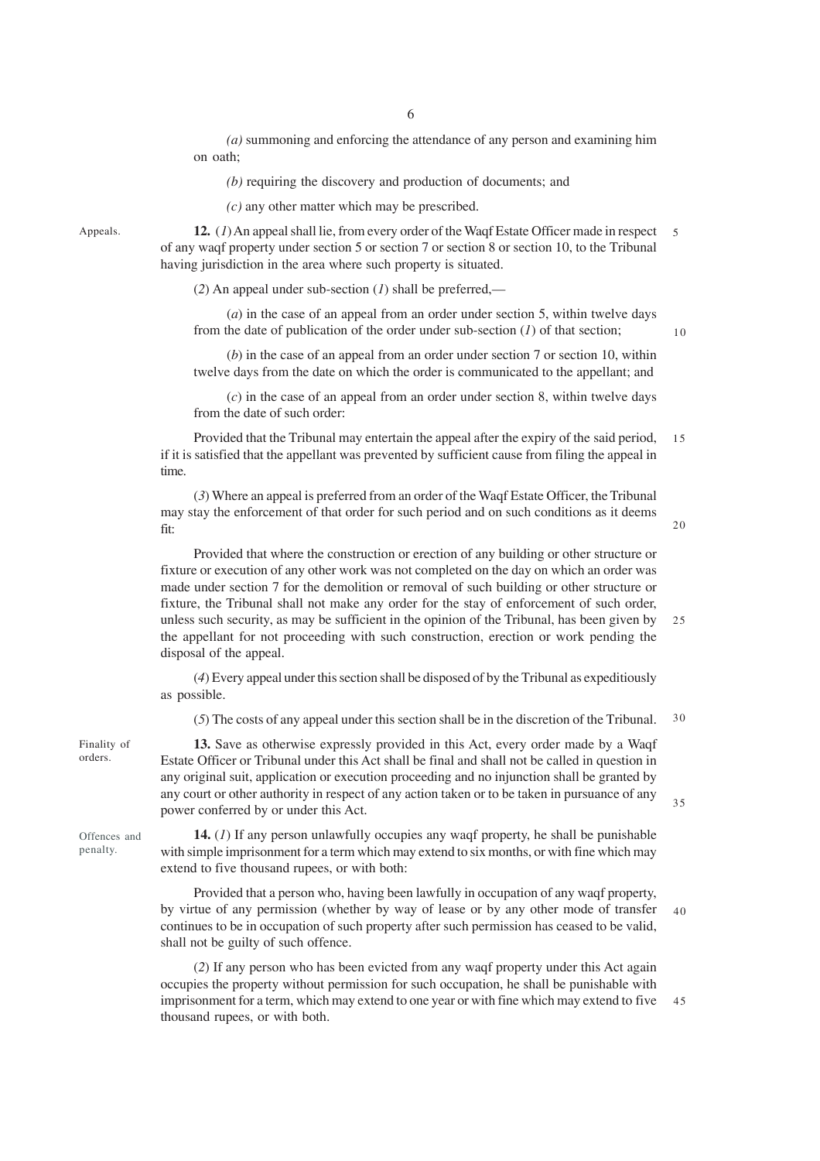*(a)* summoning and enforcing the attendance of any person and examining him on oath;

*(b)* requiring the discovery and production of documents; and

*(c)* any other matter which may be prescribed.

Appeals.

**12.** (*1*) An appeal shall lie, from every order of the Waqf Estate Officer made in respect of any waqf property under section 5 or section 7 or section 8 or section 10, to the Tribunal having jurisdiction in the area where such property is situated. 5

(*2*) An appeal under sub-section (*1*) shall be preferred,––

(*a*) in the case of an appeal from an order under section 5, within twelve days from the date of publication of the order under sub-section (*1*) of that section;

10

(*b*) in the case of an appeal from an order under section 7 or section 10, within twelve days from the date on which the order is communicated to the appellant; and

(*c*) in the case of an appeal from an order under section 8, within twelve days from the date of such order:

Provided that the Tribunal may entertain the appeal after the expiry of the said period, if it is satisfied that the appellant was prevented by sufficient cause from filing the appeal in time. 15

(*3*) Where an appeal is preferred from an order of the Waqf Estate Officer, the Tribunal may stay the enforcement of that order for such period and on such conditions as it deems fit:

20

Provided that where the construction or erection of any building or other structure or fixture or execution of any other work was not completed on the day on which an order was made under section 7 for the demolition or removal of such building or other structure or fixture, the Tribunal shall not make any order for the stay of enforcement of such order, unless such security, as may be sufficient in the opinion of the Tribunal, has been given by the appellant for not proceeding with such construction, erection or work pending the disposal of the appeal. 25

(*4*) Every appeal under this section shall be disposed of by the Tribunal as expeditiously as possible.

(*5*) The costs of any appeal under this section shall be in the discretion of the Tribunal. 30

Finality of orders.

**13.** Save as otherwise expressly provided in this Act, every order made by a Waqf Estate Officer or Tribunal under this Act shall be final and shall not be called in question in any original suit, application or execution proceeding and no injunction shall be granted by any court or other authority in respect of any action taken or to be taken in pursuance of any power conferred by or under this Act.

35

**14.** (*1*) If any person unlawfully occupies any waqf property, he shall be punishable with simple imprisonment for a term which may extend to six months, or with fine which may extend to five thousand rupees, or with both:

Provided that a person who, having been lawfully in occupation of any waqf property, by virtue of any permission (whether by way of lease or by any other mode of transfer continues to be in occupation of such property after such permission has ceased to be valid, shall not be guilty of such offence. 40

(*2*) If any person who has been evicted from any waqf property under this Act again occupies the property without permission for such occupation, he shall be punishable with imprisonment for a term, which may extend to one year or with fine which may extend to five thousand rupees, or with both. 45

Offences and penalty.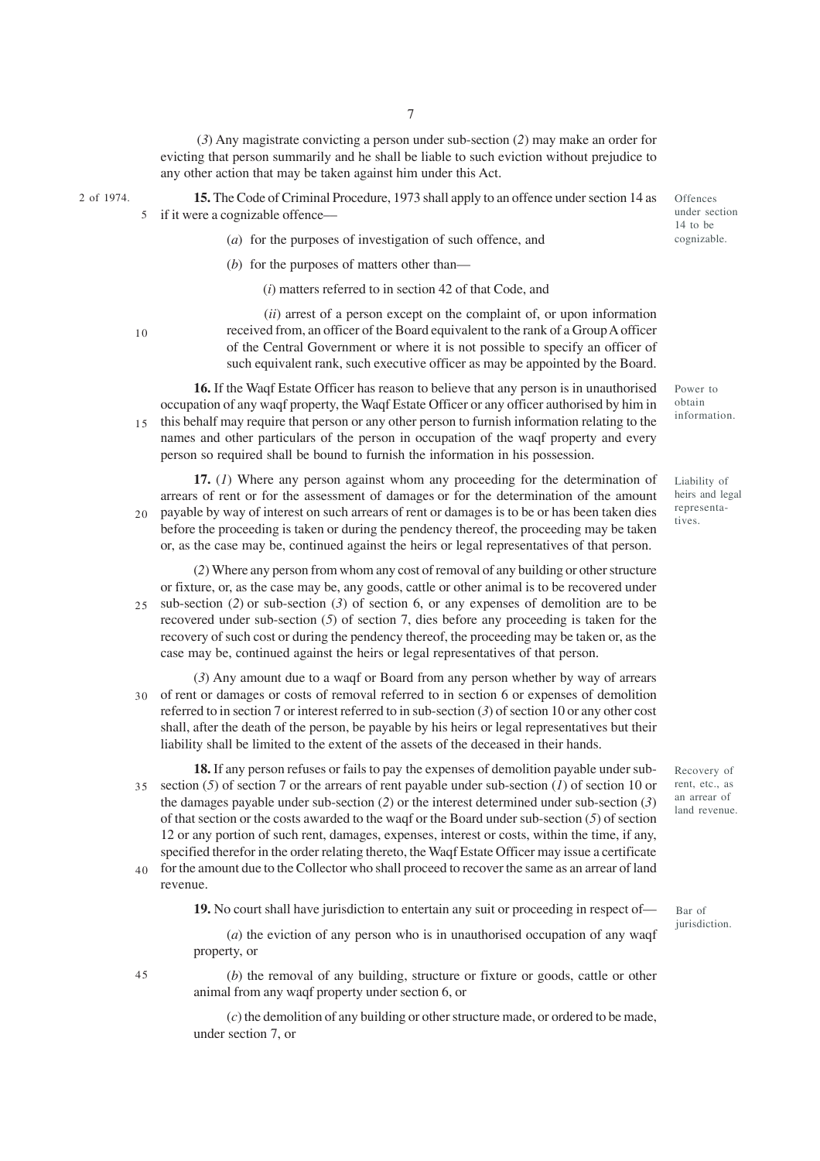(*3*) Any magistrate convicting a person under sub-section (*2*) may make an order for evicting that person summarily and he shall be liable to such eviction without prejudice to any other action that may be taken against him under this Act.

- 2 of 1974.
- **15.** The Code of Criminal Procedure, 1973 shall apply to an offence under section 14 as if it were a cognizable offence––

**Offences** under section 14 to be cognizable.

- (*a*) for the purposes of investigation of such offence, and
- (*b*) for the purposes of matters other than—

(*i*) matters referred to in section 42 of that Code, and

10

5

 (*ii*) arrest of a person except on the complaint of, or upon information received from, an officer of the Board equivalent to the rank of a Group A officer of the Central Government or where it is not possible to specify an officer of such equivalent rank, such executive officer as may be appointed by the Board.

**16.** If the Waqf Estate Officer has reason to believe that any person is in unauthorised occupation of any waqf property, the Waqf Estate Officer or any officer authorised by him in this behalf may require that person or any other person to furnish information relating to the names and other particulars of the person in occupation of the waqf property and every person so required shall be bound to furnish the information in his possession. 15

**17.** (*1*) Where any person against whom any proceeding for the determination of arrears of rent or for the assessment of damages or for the determination of the amount payable by way of interest on such arrears of rent or damages is to be or has been taken dies before the proceeding is taken or during the pendency thereof, the proceeding may be taken or, as the case may be, continued against the heirs or legal representatives of that person.  $20$ 

(*2*) Where any person from whom any cost of removal of any building or other structure or fixture, or, as the case may be, any goods, cattle or other animal is to be recovered under sub-section (*2*) or sub-section (*3*) of section 6, or any expenses of demolition are to be recovered under sub-section (*5*) of section 7, dies before any proceeding is taken for the recovery of such cost or during the pendency thereof, the proceeding may be taken or, as the case may be, continued against the heirs or legal representatives of that person.  $25$ 

(*3*) Any amount due to a waqf or Board from any person whether by way of arrears of rent or damages or costs of removal referred to in section 6 or expenses of demolition referred to in section 7 or interest referred to in sub-section (*3*) of section 10 or any other cost shall, after the death of the person, be payable by his heirs or legal representatives but their liability shall be limited to the extent of the assets of the deceased in their hands. 30

**18.** If any person refuses or fails to pay the expenses of demolition payable under subsection (*5*) of section 7 or the arrears of rent payable under sub-section (*1*) of section 10 or the damages payable under sub-section (*2*) or the interest determined under sub-section (*3*) of that section or the costs awarded to the waqf or the Board under sub-section (*5*) of section 12 or any portion of such rent, damages, expenses, interest or costs, within the time, if any, specified therefor in the order relating thereto, the Waqf Estate Officer may issue a certificate for the amount due to the Collector who shall proceed to recover the same as an arrear of land 35 40

revenue.

**19.** No court shall have jurisdiction to entertain any suit or proceeding in respect of—

(*a*) the eviction of any person who is in unauthorised occupation of any waqf property, or

45

(*b*) the removal of any building, structure or fixture or goods, cattle or other animal from any waqf property under section 6, or

(*c*) the demolition of any building or other structure made, or ordered to be made, under section 7, or

obtain information.

Power to

Liability of heirs and legal representatives.

Recovery of rent, etc., as an arrear of land revenue.

Bar of jurisdiction.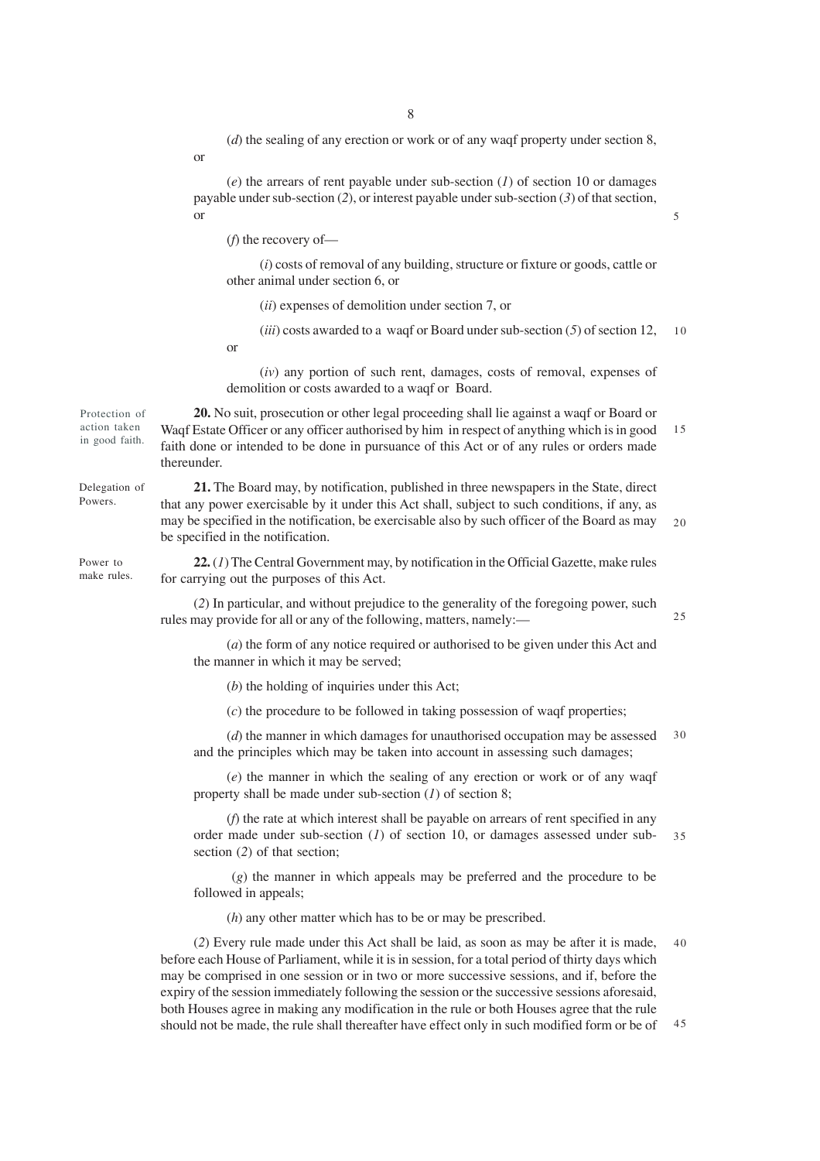(*d*) the sealing of any erection or work or of any waqf property under section 8,

(*e*) the arrears of rent payable under sub-section (*1*) of section 10 or damages payable under sub-section (*2*), or interest payable under sub-section (*3*) of that section, or

(*f*) the recovery of—

(*i*) costs of removal of any building, structure or fixture or goods, cattle or other animal under section 6, or

(*ii*) expenses of demolition under section 7, or

(*iii*) costs awarded to a waqf or Board under sub-section (*5*) of section 12, 10

or

or

(*iv*) any portion of such rent, damages, costs of removal, expenses of demolition or costs awarded to a waqf or Board.

**20.** No suit, prosecution or other legal proceeding shall lie against a waqf or Board or Waqf Estate Officer or any officer authorised by him in respect of anything which is in good faith done or intended to be done in pursuance of this Act or of any rules or orders made thereunder. 15

**21.** The Board may, by notification, published in three newspapers in the State, direct that any power exercisable by it under this Act shall, subject to such conditions, if any, as may be specified in the notification, be exercisable also by such officer of the Board as may be specified in the notification. 20

**22.** (*1*) The Central Government may, by notification in the Official Gazette, make rules for carrying out the purposes of this Act.

(*2*) In particular, and without prejudice to the generality of the foregoing power, such rules may provide for all or any of the following, matters, namely:—

(*a*) the form of any notice required or authorised to be given under this Act and the manner in which it may be served;

(*b*) the holding of inquiries under this Act;

(*c*) the procedure to be followed in taking possession of waqf properties;

(*d*) the manner in which damages for unauthorised occupation may be assessed and the principles which may be taken into account in assessing such damages; 30

(*e*) the manner in which the sealing of any erection or work or of any waqf property shall be made under sub-section (*1*) of section 8;

(*f*) the rate at which interest shall be payable on arrears of rent specified in any order made under sub-section (*1*) of section 10, or damages assessed under subsection (*2*) of that section; 35

 (*g*) the manner in which appeals may be preferred and the procedure to be followed in appeals;

(*h*) any other matter which has to be or may be prescribed.

(*2*) Every rule made under this Act shall be laid, as soon as may be after it is made, before each House of Parliament, while it is in session, for a total period of thirty days which may be comprised in one session or in two or more successive sessions, and if, before the expiry of the session immediately following the session or the successive sessions aforesaid, both Houses agree in making any modification in the rule or both Houses agree that the rule should not be made, the rule shall thereafter have effect only in such modified form or be of 40 45

5

Protection of action taken in good faith.

Delegation of Powers.

Power to make rules.

25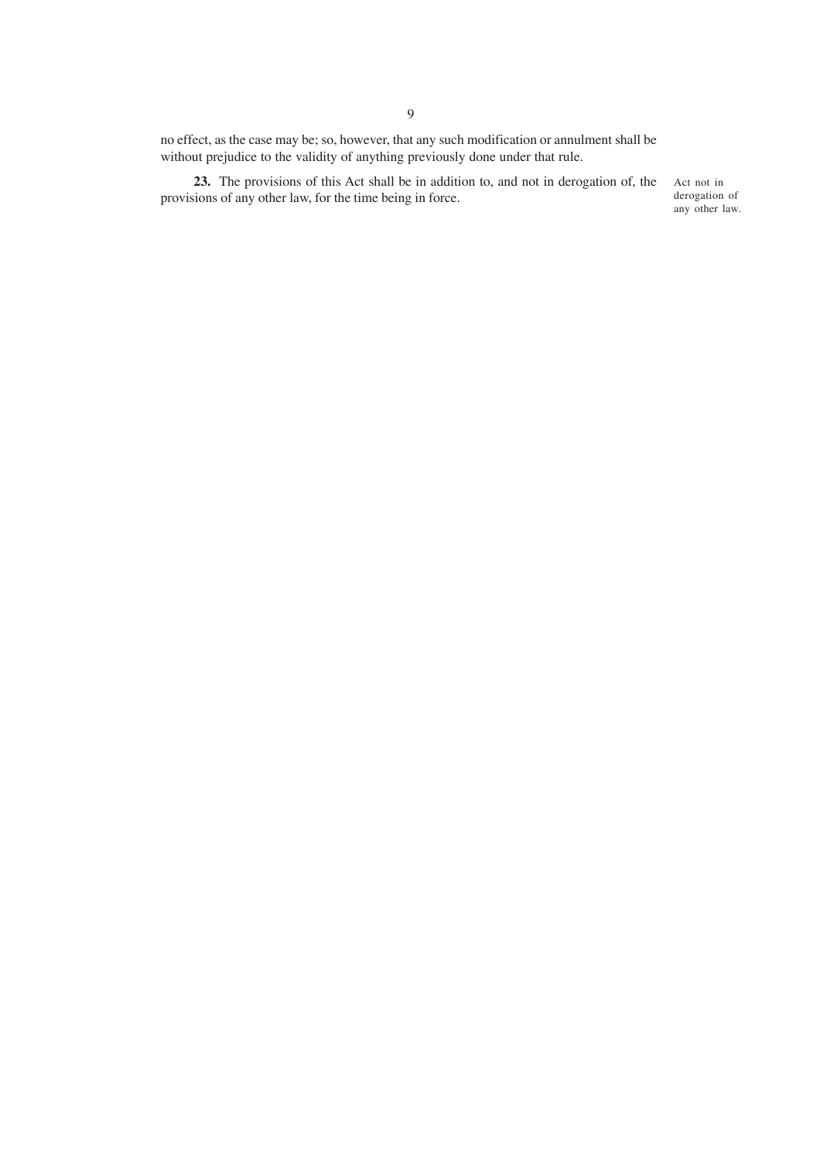no effect, as the case may be; so, however, that any such modification or annulment shall be without prejudice to the validity of anything previously done under that rule.

**23.** The provisions of this Act shall be in addition to, and not in derogation of, the provisions of any other law, for the time being in force.

Act not in derogation of any other law.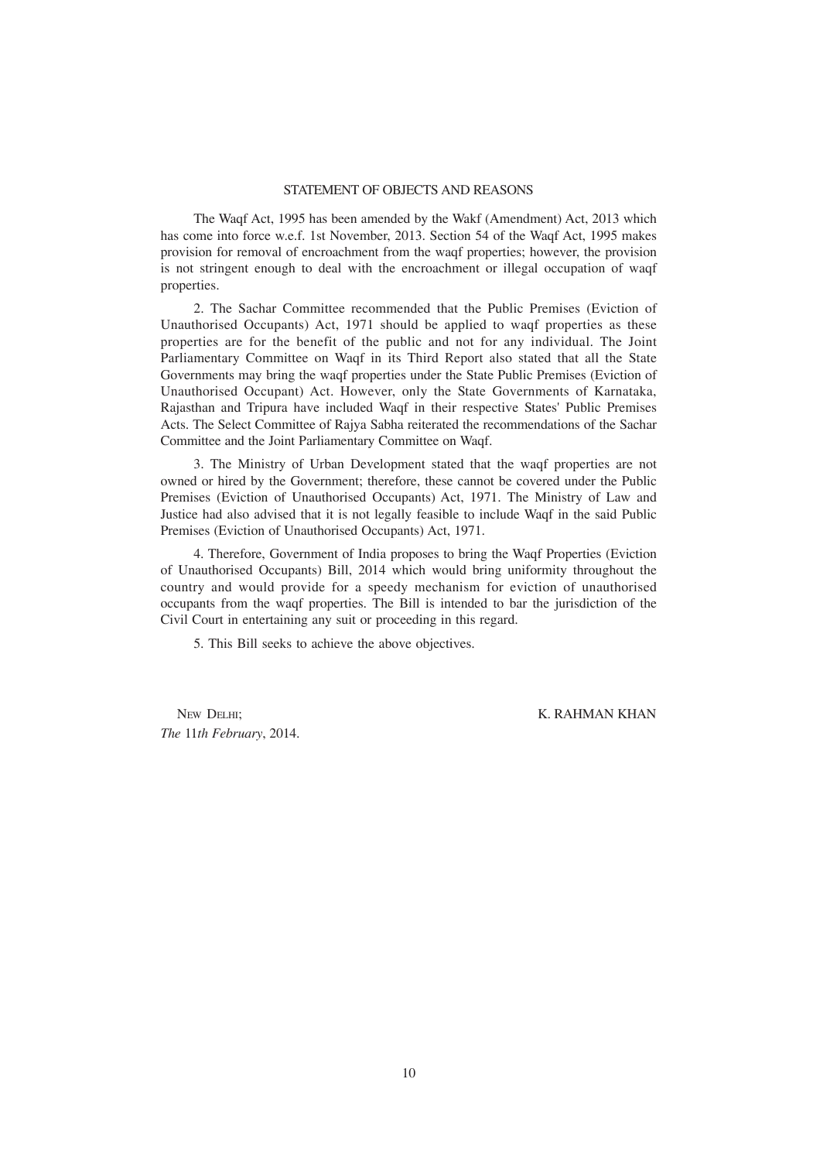## STATEMENT OF OBJECTS AND REASONS

The Waqf Act, 1995 has been amended by the Wakf (Amendment) Act, 2013 which has come into force w.e.f. 1st November, 2013. Section 54 of the Waqf Act, 1995 makes provision for removal of encroachment from the waqf properties; however, the provision is not stringent enough to deal with the encroachment or illegal occupation of waqf properties.

2. The Sachar Committee recommended that the Public Premises (Eviction of Unauthorised Occupants) Act, 1971 should be applied to waqf properties as these properties are for the benefit of the public and not for any individual. The Joint Parliamentary Committee on Waqf in its Third Report also stated that all the State Governments may bring the waqf properties under the State Public Premises (Eviction of Unauthorised Occupant) Act. However, only the State Governments of Karnataka, Rajasthan and Tripura have included Waqf in their respective States' Public Premises Acts. The Select Committee of Rajya Sabha reiterated the recommendations of the Sachar Committee and the Joint Parliamentary Committee on Waqf.

3. The Ministry of Urban Development stated that the waqf properties are not owned or hired by the Government; therefore, these cannot be covered under the Public Premises (Eviction of Unauthorised Occupants) Act, 1971. The Ministry of Law and Justice had also advised that it is not legally feasible to include Waqf in the said Public Premises (Eviction of Unauthorised Occupants) Act, 1971.

4. Therefore, Government of India proposes to bring the Waqf Properties (Eviction of Unauthorised Occupants) Bill, 2014 which would bring uniformity throughout the country and would provide for a speedy mechanism for eviction of unauthorised occupants from the waqf properties. The Bill is intended to bar the jurisdiction of the Civil Court in entertaining any suit or proceeding in this regard.

5. This Bill seeks to achieve the above objectives.

NEW DELHI; K. RAHMAN KHAN *The* 11*th February*, 2014.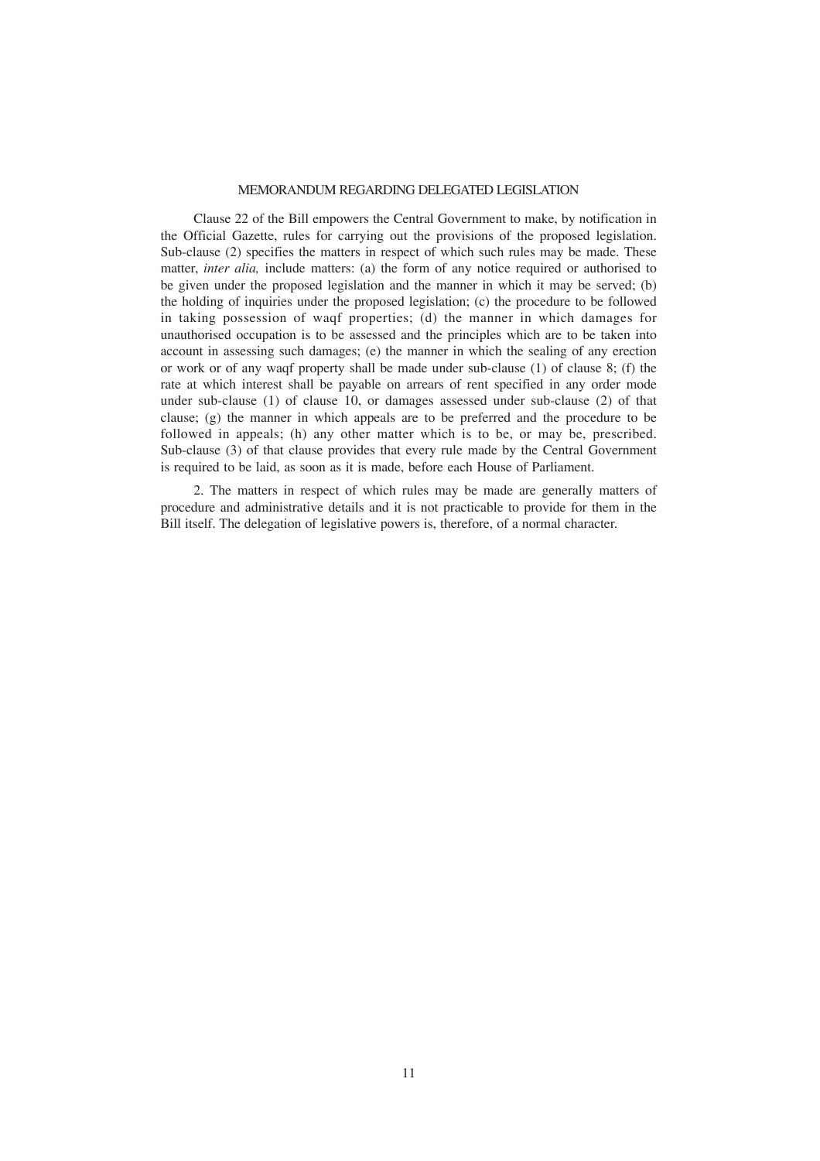## MEMORANDUM REGARDING DELEGATED LEGISLATION

Clause 22 of the Bill empowers the Central Government to make, by notification in the Official Gazette, rules for carrying out the provisions of the proposed legislation. Sub-clause (2) specifies the matters in respect of which such rules may be made. These matter, *inter alia,* include matters: (a) the form of any notice required or authorised to be given under the proposed legislation and the manner in which it may be served; (b) the holding of inquiries under the proposed legislation; (c) the procedure to be followed in taking possession of waqf properties; (d) the manner in which damages for unauthorised occupation is to be assessed and the principles which are to be taken into account in assessing such damages; (e) the manner in which the sealing of any erection or work or of any waqf property shall be made under sub-clause (1) of clause 8; (f) the rate at which interest shall be payable on arrears of rent specified in any order mode under sub-clause (1) of clause 10, or damages assessed under sub-clause (2) of that clause; (g) the manner in which appeals are to be preferred and the procedure to be followed in appeals; (h) any other matter which is to be, or may be, prescribed. Sub-clause (3) of that clause provides that every rule made by the Central Government is required to be laid, as soon as it is made, before each House of Parliament.

2. The matters in respect of which rules may be made are generally matters of procedure and administrative details and it is not practicable to provide for them in the Bill itself. The delegation of legislative powers is, therefore, of a normal character.